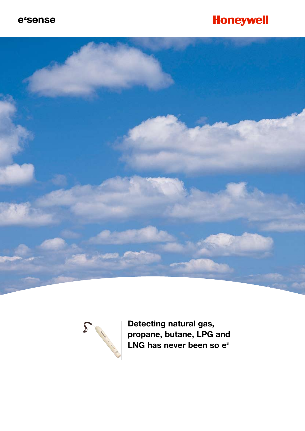### ezsense

# **Honeywell**





Detecting natural gas, propane, butane, LPG and LNG has never been so e<sup>z</sup>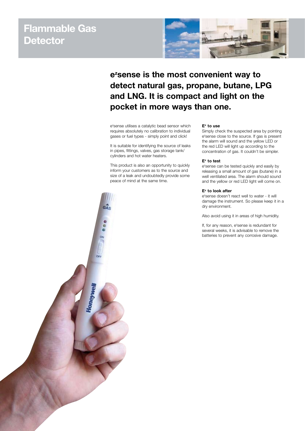# **Flammable Gas Detector**



## **ez sense is the most convenient way to detect natural gas, propane, butane, LPG and LNG. It is compact and light on the pocket in more ways than one.**

e<sup>z</sup>sense utilises a catalytic bead sensor which requires absolutely no calibration to individual gases or fuel types - simply point and click!

It is suitable for identifying the source of leaks in pipes, fittings, valves, gas storage tank/ cylinders and hot water heaters.

This product is also an opportunity to quickly inform your customers as to the source and size of a leak and undoubtedly provide some peace of mind at the same time.

#### **Ez to use**

Simply check the suspected area by pointing e<sup>z</sup>sense close to the source. If gas is present the alarm will sound and the yellow LED or the red LED will light up according to the concentration of gas. It couldn't be simpler.

#### **Ez to test**

e<sup>z</sup>sense can be tested quickly and easily by releasing a small amount of gas (butane) in a well ventilated area. The alarm should sound and the yellow or red LED light will come on.

#### **Ez to look after**

e<sup>z</sup>sense doesn't react well to water - it will damage the instrument. So please keep it in a dry environment.

Also avoid using it in areas of high humidity.

If, for any reason, e<sup>z</sup>sense is redundant for several weeks, it is advisable to remove the batteries to prevent any corrosive damage.

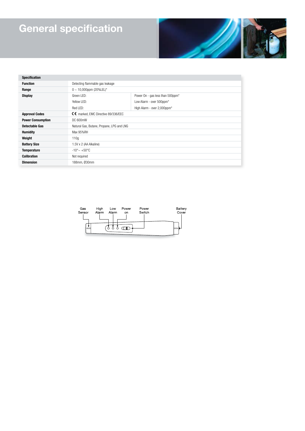# **General specification**



| <b>Specification</b>     |                                           |                                              |
|--------------------------|-------------------------------------------|----------------------------------------------|
| <b>Function</b>          | Detecting flammable gas leakage           |                                              |
| Range                    | $0 \sim 10,000$ ppm (20%LEL)*             |                                              |
| <b>Display</b>           | Green LED:                                | Power On - gas less than 500ppm <sup>*</sup> |
|                          | Yellow I FD:                              | Low Alarm - over 500ppm*                     |
|                          | Red LED:                                  | High Alarm - over 2,000ppm*                  |
| <b>Approval Codes</b>    | C€ marked, EMC Directive 89/336/EEC       |                                              |
| <b>Power Consumption</b> | DC 600mW                                  |                                              |
| Detectable Gas           | Natural Gas, Butane, Propane, LPG and LNG |                                              |
| <b>Humidity</b>          | Max 95%RH                                 |                                              |
| Weight                   | 110q                                      |                                              |
| <b>Battery Size</b>      | 1.5V x 2 (AA Alkaline)                    |                                              |
| <b>Temperature</b>       | $-10^{\circ}$ $\sim +50^{\circ}$ C        |                                              |
| <b>Calibration</b>       | Not required                              |                                              |
| <b>Dimension</b>         | 188mm, Ø30mm                              |                                              |